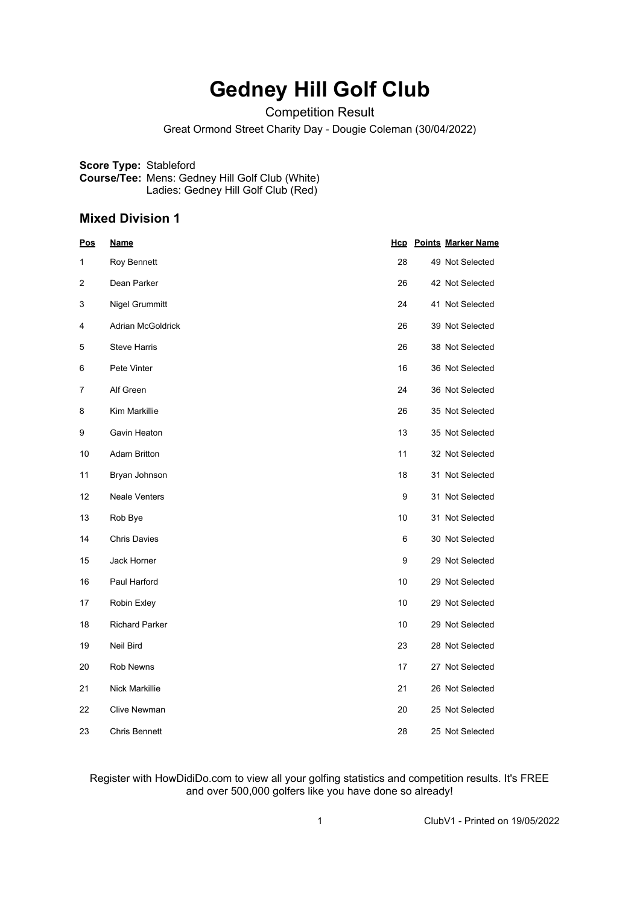# **Gedney Hill Golf Club**

Competition Result

Great Ormond Street Charity Day - Dougie Coleman (30/04/2022)

**Score Type:** Stableford **Course/Tee:** Mens: Gedney Hill Golf Club (White) Ladies: Gedney Hill Golf Club (Red)

#### **Mixed Division 1**

| <u>Pos</u> | <u>Name</u>              | <u>Hcp</u> | <b>Points Marker Name</b> |
|------------|--------------------------|------------|---------------------------|
| 1          | Roy Bennett              | 28         | 49 Not Selected           |
| 2          | Dean Parker              | 26         | 42 Not Selected           |
| 3          | Nigel Grummitt           | 24         | 41 Not Selected           |
| 4          | <b>Adrian McGoldrick</b> | 26         | 39 Not Selected           |
| 5          | <b>Steve Harris</b>      | 26         | 38 Not Selected           |
| 6          | Pete Vinter              | 16         | 36 Not Selected           |
| 7          | Alf Green                | 24         | 36 Not Selected           |
| 8          | Kim Markillie            | 26         | 35 Not Selected           |
| 9          | Gavin Heaton             | 13         | 35 Not Selected           |
| 10         | <b>Adam Britton</b>      | 11         | 32 Not Selected           |
| 11         | Bryan Johnson            | 18         | 31 Not Selected           |
| 12         | <b>Neale Venters</b>     | 9          | 31 Not Selected           |
| 13         | Rob Bye                  | 10         | 31 Not Selected           |
| 14         | <b>Chris Davies</b>      | 6          | 30 Not Selected           |
| 15         | Jack Horner              | 9          | 29 Not Selected           |
| 16         | Paul Harford             | 10         | 29 Not Selected           |
| 17         | Robin Exley              | 10         | 29 Not Selected           |
| 18         | <b>Richard Parker</b>    | 10         | 29 Not Selected           |
| 19         | Neil Bird                | 23         | 28 Not Selected           |
| 20         | Rob Newns                | 17         | 27 Not Selected           |
| 21         | <b>Nick Markillie</b>    | 21         | 26 Not Selected           |
| 22         | <b>Clive Newman</b>      | 20         | 25 Not Selected           |
| 23         | <b>Chris Bennett</b>     | 28         | 25 Not Selected           |

Register with HowDidiDo.com to view all your golfing statistics and competition results. It's FREE and over 500,000 golfers like you have done so already!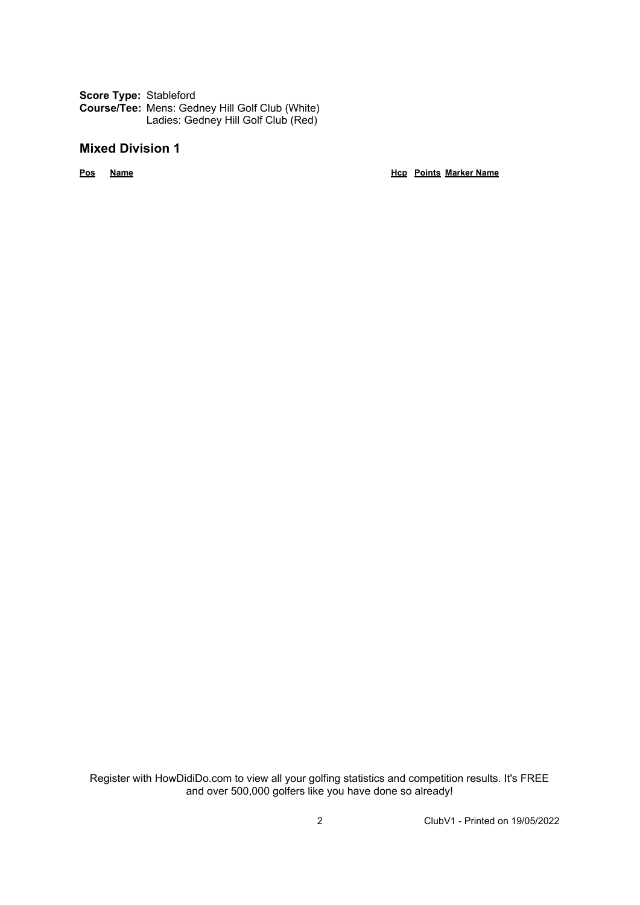**Score Type:** Stableford **Course/Tee:** Mens: Gedney Hill Golf Club (White) Ladies: Gedney Hill Golf Club (Red)

### **Mixed Division 1**

**Pos Name Hcp Points Marker Name**

Register with HowDidiDo.com to view all your golfing statistics and competition results. It's FREE and over 500,000 golfers like you have done so already!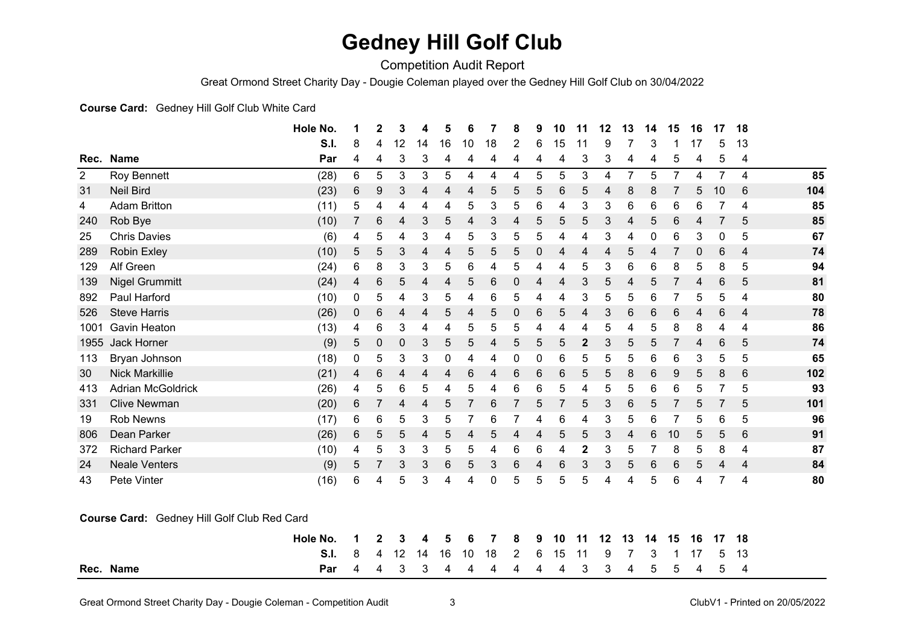## **Gedney Hill Golf Club**

Competition Audit Report

Great Ormond Street Charity Day - Dougie Coleman played over the Gedney Hill Golf Club on 30/04/2022

#### **Course Card:** Gedney Hill Golf Club White Card

|                                             |                          | Hole No. | 1 | 2 | 3                | 4  | 5           | 6     |    | 8 | 9 | 10              | 11          | 12 | 13             | 14 | 15             | 16           | 17             | 18    |     |
|---------------------------------------------|--------------------------|----------|---|---|------------------|----|-------------|-------|----|---|---|-----------------|-------------|----|----------------|----|----------------|--------------|----------------|-------|-----|
|                                             |                          | S.I.     | 8 | 4 | 12               | 14 | 16          | 10    | 18 | 2 | 6 | 15              | 11          | 9  |                | 3  |                | 17           | 5              | 13    |     |
|                                             | Rec. Name                | Par      | 4 | 4 | 3                | 3  | 4           | 4     | 4  | 4 | 4 | 4               | 3           | 3  | 4              | 4  | 5              | 4            | 5              | 4     |     |
| $\overline{2}$                              | Roy Bennett              | (28)     | 6 | 5 | 3                | 3  | 5           | 4     | 4  | 4 | 5 | 5               | 3           | 4  | $\overline{7}$ | 5  | $\overline{7}$ | 4            | $\overline{7}$ | 4     | 85  |
| 31                                          | <b>Neil Bird</b>         | (23)     | 6 | 9 | 3                | 4  | 4           | 4     | 5  | 5 | 5 | 6               | 5           | 4  | 8              | 8  |                | 5            | 10             | 6     | 104 |
| 4                                           | <b>Adam Britton</b>      | (11)     | 5 | 4 | 4                | 4  | 4           | 5     | 3  | 5 | 6 | 4               | 3           | 3  | 6              | 6  | 6              | 6            | 7              | 4     | 85  |
| 240                                         | Rob Bye                  | (10)     | 7 | 6 | 4                | 3  | $\sqrt{5}$  | 4     | 3  | 4 | 5 | 5               | 5           | 3  | 4              | 5  | 6              | 4            | 7              | 5     | 85  |
| 25                                          | <b>Chris Davies</b>      | (6)      | 4 | 5 | 4                | 3  | 4           | 5     | 3  | 5 | 5 | 4               | 4           | 3  | 4              | 0  | 6              | 3            | 0              | 5     | 67  |
| 289                                         | <b>Robin Exley</b>       | (10)     | 5 | 5 | 3                | 4  | 4           | 5     | 5  | 5 | 0 | 4               | 4           | 4  | 5              | 4  | $\overline{7}$ | $\mathbf 0$  | $\,6$          | 4     | 74  |
| 129                                         | Alf Green                | (24)     | 6 | 8 | 3                | 3  | 5           | 6     | 4  | 5 | 4 | 4               | 5           | 3  | 6              | 6  | 8              | 5            | 8              | 5     | 94  |
| 139                                         | <b>Nigel Grummitt</b>    | (24)     | 4 | 6 | 5                | 4  | 4           | 5     | 6  | 0 | 4 | 4               | 3           | 5  | 4              | 5  | $\overline{7}$ | 4            | $\,6$          | 5     | 81  |
| 892                                         | Paul Harford             | (10)     | 0 | 5 | 4                | 3  | 5           | 4     | 6  | 5 | 4 | 4               | 3           | 5  | 5              | 6  |                | 5            | 5              | 4     | 80  |
| 526                                         | <b>Steve Harris</b>      | (26)     | 0 | 6 | 4                | 4  | 5           | 4     | 5  | 0 | 6 | 5               | 4           | 3  | 6              | 6  | 6              | 4            | $\,6$          | 4     | 78  |
| 1001                                        | <b>Gavin Heaton</b>      | (13)     | 4 | 6 | 3                | 4  | 4           | 5     | 5  | 5 | 4 | 4               | 4           | 5  | 4              | 5  | 8              | 8            | 4              | 4     | 86  |
| 1955                                        | Jack Horner              | (9)      | 5 | 0 | $\boldsymbol{0}$ | 3  | 5           | 5     | 4  | 5 | 5 | 5               | $\mathbf 2$ | 3  | 5              | 5  |                | 4            | 6              | 5     | 74  |
| 113                                         | Bryan Johnson            | (18)     | 0 | 5 | 3                | 3  | $\mathbf 0$ | 4     | 4  | 0 | 0 | 6               | 5           | 5  | 5              | 6  | 6              | $\mathbf{3}$ | 5              | 5     | 65  |
| 30                                          | <b>Nick Markillie</b>    | (21)     | 4 | 6 | 4                | 4  | 4           | $\,6$ | 4  | 6 | 6 | 6               | 5           | 5  | 8              | 6  | 9              | 5            | 8              | $\,6$ | 102 |
| 413                                         | <b>Adrian McGoldrick</b> | (26)     | 4 | 5 | 6                | 5  | 4           | 5     | 4  | 6 | 6 | 5               | 4           | 5  | 5              | 6  | 6              | 5            | 7              | 5     | 93  |
| 331                                         | <b>Clive Newman</b>      | (20)     | 6 | 7 | 4                | 4  | 5           | 7     | 6  | 7 | 5 | $\overline{7}$  | 5           | 3  | 6              | 5  | $\overline{7}$ | 5            | $\overline{7}$ | 5     | 101 |
| 19                                          | <b>Rob Newns</b>         | (17)     | 6 | 6 | 5                | 3  | 5           | 7     | 6  | 7 | 4 | $\,6$           | 4           | 3  | 5              | 6  |                | 5            | 6              | 5     | 96  |
| 806                                         | Dean Parker              | (26)     | 6 | 5 | 5                | 4  | 5           | 4     | 5  | 4 | 4 | 5               | 5           | 3  | 4              | 6  | 10             | 5            | 5              | 6     | 91  |
| 372                                         | <b>Richard Parker</b>    | (10)     | 4 | 5 | 3                | 3  | 5           | 5     | 4  | 6 | 6 | 4               | $\mathbf 2$ | 3  | 5              | 7  | 8              | 5            | 8              | 4     | 87  |
| 24                                          | <b>Neale Venters</b>     | (9)      | 5 | 7 | 3                | 3  | $\,6$       | 5     | 3  | 6 | 4 | $6\phantom{1}6$ | 3           | 3  | 5              | 6  | 6              | 5            | 4              | 4     | 84  |
| 43                                          | Pete Vinter              | (16)     | 6 | 4 | 5                | 3  | 4           | 4     | 0  | 5 | 5 | 5               | 5           | 4  | 4              | 5  | 6              | 4            | 7              | 4     | 80  |
|                                             |                          |          |   |   |                  |    |             |       |    |   |   |                 |             |    |                |    |                |              |                |       |     |
| Course Card: Gedney Hill Golf Club Red Card |                          |          |   |   |                  |    |             |       |    |   |   |                 |             |    |                |    |                |              |                |       |     |
|                                             |                          |          |   |   |                  |    |             |       |    |   |   |                 |             |    |                |    |                |              |                |       |     |
|                                             |                          | Hole No. | 1 | 2 | 3                | 4  | 5           | 6     |    | 8 | 9 | 10              | 11          | 12 | 13             | 14 | 15             | 16           | 17             | 18    |     |
|                                             |                          | S.I.     | 8 | 4 | 12               | 14 | 16          | 10    | 18 | 2 | 6 | 15              | 11          | 9  |                | 3  |                | 17           | 5              | 13    |     |
|                                             | Rec. Name                | Par      | 4 | 4 | 3                | 3  | 4           | 4     | 4  | 4 | 4 | 4               | 3           | 3  | 4              | 5  | 5              | 4            | 5              | 4     |     |